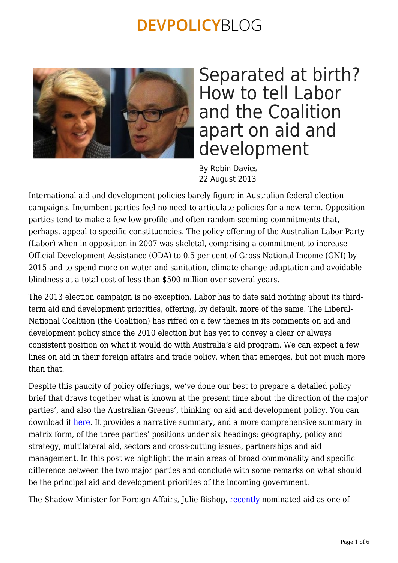

## Separated at birth? How to tell Labor and the Coalition apart on aid and development

By Robin Davies 22 August 2013

International aid and development policies barely figure in Australian federal election campaigns. Incumbent parties feel no need to articulate policies for a new term. Opposition parties tend to make a few low-profile and often random-seeming commitments that, perhaps, appeal to specific constituencies. The policy offering of the Australian Labor Party (Labor) when in opposition in 2007 was skeletal, comprising a commitment to increase Official Development Assistance (ODA) to 0.5 per cent of Gross National Income (GNI) by 2015 and to spend more on water and sanitation, climate change adaptation and avoidable blindness at a total cost of less than \$500 million over several years.

The 2013 election campaign is no exception. Labor has to date said nothing about its thirdterm aid and development priorities, offering, by default, more of the same. The Liberal-National Coalition (the Coalition) has riffed on a few themes in its comments on aid and development policy since the 2010 election but has yet to convey a clear or always consistent position on what it would do with Australia's aid program. We can expect a few lines on aid in their foreign affairs and trade policy, when that emerges, but not much more than that.

Despite this paucity of policy offerings, we've done our best to prepare a detailed policy brief that draws together what is known at the present time about the direction of the major parties', and also the Australian Greens', thinking on aid and development policy. You can download it [here.](https://devpolicy.org/publications/policy_briefs/PB6Election2013.pdf) It provides a narrative summary, and a more comprehensive summary in matrix form, of the three parties' positions under six headings: geography, policy and strategy, multilateral aid, sectors and cross-cutting issues, partnerships and aid management. In this post we highlight the main areas of broad commonality and specific difference between the two major parties and conclude with some remarks on what should be the principal aid and development priorities of the incoming government.

The Shadow Minister for Foreign Affairs, Julie Bishop, [recently](https://devpolicy.org/in-brief/bishop-carr-debate-shows-key-points-of-difference-on-aid-20130812/) nominated aid as one of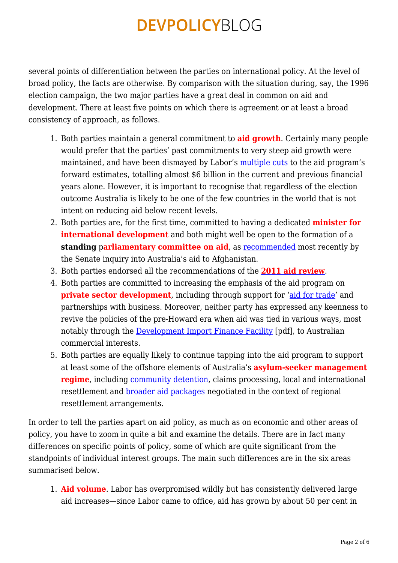several points of differentiation between the parties on international policy. At the level of broad policy, the facts are otherwise. By comparison with the situation during, say, the 1996 election campaign, the two major parties have a great deal in common on aid and development. There at least five points on which there is agreement or at least a broad consistency of approach, as follows.

- 1. Both parties maintain a general commitment to **aid growth**. Certainly many people would prefer that the parties' past commitments to very steep aid growth were maintained, and have been dismayed by Labor's [multiple cuts](https://devpolicy.org/foreign-aid-in-the-august-statement-20130805-2/) to the aid program's forward estimates, totalling almost \$6 billion in the current and previous financial years alone. However, it is important to recognise that regardless of the election outcome Australia is likely to be one of the few countries in the world that is not intent on reducing aid below recent levels.
- 2. Both parties are, for the first time, committed to having a dedicated **minister for international development** and both might well be open to the formation of a **standing parliamentary committee on aid**, as [recommended](http://www.aph.gov.au/parliamentary_business/committees/senate_committees?url=fadt_ctte/completed_inquiries/2010-13/afghanistan/report/index.htm) most recently by the Senate inquiry into Australia's aid to Afghanistan.
- 3. Both parties endorsed all the recommendations of the **[2011 aid review](http://www.aidreview.gov.au/index.html)**.
- 4. Both parties are committed to increasing the emphasis of the aid program on **private sector development**, including through support for ['aid for trade'](http://www.wto.org/english/tratop_e/devel_e/a4t_e/aid4trade_e.htm) and partnerships with business. Moreover, neither party has expressed any keenness to revive the policies of the pre-Howard era when aid was tied in various ways, most notably through the **[Development Import Finance Facility](http://www.ausaid.gov.au/Publications/Documents/diffrevw.pdf)** [pdf], to Australian commercial interests.
- 5. Both parties are equally likely to continue tapping into the aid program to support at least some of the offshore elements of Australia's **asylum-seeker management regime**, including [community detention,](https://devpolicy.org/setting-the-stage-for-community-detention-in-png-and-nauru-20130807-2/) claims processing, local and international resettlement and [broader aid packages](https://devpolicy.org/the-aid-implications-of-the-png-solution-what-isnt-is-and-might-be-happening-20130726-2/) negotiated in the context of regional resettlement arrangements.

In order to tell the parties apart on aid policy, as much as on economic and other areas of policy, you have to zoom in quite a bit and examine the details. There are in fact many differences on specific points of policy, some of which are quite significant from the standpoints of individual interest groups. The main such differences are in the six areas summarised below.

1. **Aid volume**. Labor has overpromised wildly but has consistently delivered large aid increases—since Labor came to office, aid has grown by about 50 per cent in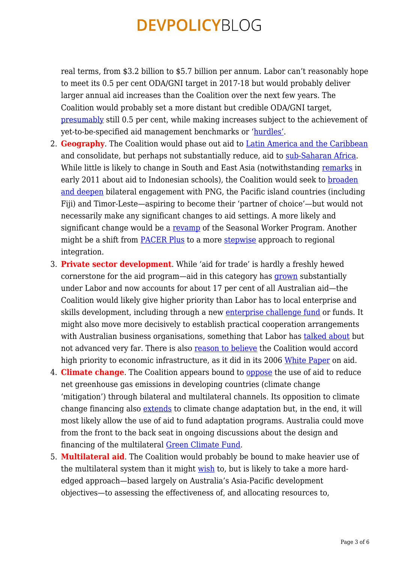real terms, from \$3.2 billion to \$5.7 billion per annum. Labor can't reasonably hope to meet its 0.5 per cent ODA/GNI target in 2017-18 but would probably deliver larger annual aid increases than the Coalition over the next few years. The Coalition would probably set a more distant but credible ODA/GNI target, [presumably](http://www.tonyabbott.com.au/News/tabid/94/articleType/ArticleView/articleId/9126/Interview-with-Chris-Kenny-ViewPoint-Sky-News.aspx) still 0.5 per cent, while making increases subject to the achievement of yet-to-be-specified aid management benchmarks or '[hurdles'.](http://www.acfid.asn.au/about-acfid/files/julie-bishop-speech-transcript)

- 2. **Geography**. The Coalition would phase out aid to [Latin America and the Caribbean](http://www.radioaustralia.net.au/international/radio/onairhighlights/australias-opposition-to-closely-monitor-aus-aid) and consolidate, but perhaps not substantially reduce, aid to [sub-Saharan Africa.](http://www.juliebishop.com.au/speeches/470-address-to-australian-council-for-international-development-policy-priorities-for-aid-and-development-assistance.html) While little is likely to change in South and East Asia (notwithstanding [remarks](http://www.theage.com.au/national/libs-would-make-indonesian-schools-pay-for-floods-20110208-1alms.html) in early 2011 about aid to Indonesian schools), the Coalition would seek to [broaden](http://www.radioaustralia.net.au/international/radio/onairhighlights/bob-carr-and-julie-bishop-go-head-to-head-in-australian-foreign-policy-debate/1173052) [and deepen](http://www.radioaustralia.net.au/international/radio/onairhighlights/bob-carr-and-julie-bishop-go-head-to-head-in-australian-foreign-policy-debate/1173052) bilateral engagement with PNG, the Pacific island countries (including Fiji) and Timor-Leste—aspiring to become their 'partner of choice'—but would not necessarily make any significant changes to aid settings. A more likely and significant change would be a [revamp](http://www.juliebishop.com.au/speeches/1332-address-to-national-dialogue-on-the-role-of-the-private-sector-in-development-and-aid-for-trade.html/) of the Seasonal Worker Program. Another might be a shift from **PACER Plus** to a more **stepwise** approach to regional integration.
- 3. **Private sector development**. While 'aid for trade' is hardly a freshly hewed cornerstone for the aid program—aid in this category has [grown](http://www.oecd.org/aidfortrade/Australia_CRSProfile2013.pdf) substantially under Labor and now accounts for about 17 per cent of all Australian aid—the Coalition would likely give higher priority than Labor has to local enterprise and skills development, including through a new [enterprise challenge fund](http://www.enterprisechallengefund.org/) or funds. It might also move more decisively to establish practical cooperation arrangements with Australian business organisations, something that Labor has [talked about](http://www.ausaid.gov.au/partner/pages/business.aspx) but not advanced very far. There is also [reason to believe](http://www.theguardian.com/world/2013/jun/02/foreign-policy-julie-bishop-coalition) the Coalition would accord high priority to economic infrastructure, as it did in its 2006 [White Paper](http://www.ausaid.gov.au/Publications/Pages/6184_6346_7334_4045_8043.aspx) on aid.
- 4. **Climate change**. The Coalition appears bound to [oppose](http://www.juliebishop.com.au/transcripts/1173-abc-24-weekend-breakfast.html) the use of aid to reduce net greenhouse gas emissions in developing countries (climate change 'mitigation') through bilateral and multilateral channels. Its opposition to climate change financing also [extends](http://parlinfo.aph.gov.au/parlInfo/search/display/display.w3p;query=Source%3A%22AUSTRALIAN%20LABOR%20PARTY%22%20Author_Phrase%3A%22liberal%20party%20of%20australia%22;rec=3) to climate change adaptation but, in the end, it will most likely allow the use of aid to fund adaptation programs. Australia could move from the front to the back seat in ongoing discussions about the design and financing of the multilateral [Green Climate Fund.](http://www.ausaid.gov.au/HotTopics/Pages/Display.aspx?QID=1173)
- 5. **Multilateral aid**. The Coalition would probably be bound to make heavier use of the multilateral system than it might [wish](http://www.theguardian.com/world/2013/jun/02/foreign-policy-julie-bishop-coalition) to, but is likely to take a more hardedged approach—based largely on Australia's Asia-Pacific development objectives—to assessing the effectiveness of, and allocating resources to,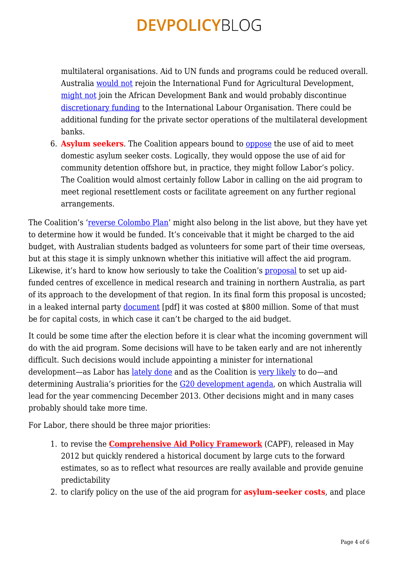multilateral organisations. Aid to UN funds and programs could be reduced overall. Australia [would not](http://teresagambaro.com/2013/02/speech-international-fund-for-agricultural-development-bill-2012/) rejoin the International Fund for Agricultural Development, [might not](http://www.tonyabbott.com.au/LatestNews/Speeches/tabid/88/articleType/ArticleView/articleId/8810/Address-to-the-House-of-Representatives--Address-In-Reply-Parliament-House-Canberra.aspx) join the African Development Bank and would probably discontinue [discretionary funding](http://www.ausaid.gov.au/publications/Pages/aus-gov-ilo-partnership-agreement.aspx) to the International Labour Organisation. There could be additional funding for the private sector operations of the multilateral development banks.

6. **Asylum seekers**. The Coalition appears bound to [oppose](http://www.theaustralian.com.au/national-affairs/foreign-affairs/carrs-aid-shift-a-cut-bishop/story-fn59nm2j-1226539449670) the use of aid to meet domestic asylum seeker costs. Logically, they would oppose the use of aid for community detention offshore but, in practice, they might follow Labor's policy. The Coalition would almost certainly follow Labor in calling on the aid program to meet regional resettlement costs or facilitate agreement on any further regional arrangements.

The Coalition's '[reverse Colombo Plan](http://www.juliebishop.com.au/speeches/1248-the-new-colombo-plan-rountable.html)' might also belong in the list above, but they have yet to determine how it would be funded. It's conceivable that it might be charged to the aid budget, with Australian students badged as volunteers for some part of their time overseas, but at this stage it is simply unknown whether this initiative will affect the aid program. Likewise, it's hard to know how seriously to take the Coalition's **proposal** to set up aidfunded centres of excellence in medical research and training in northern Australia, as part of its approach to the development of that region. In its final form this proposal is uncosted; in a leaked internal party [document](https://dl.dropbox.com/u/18884988/Leaked%20coalition%20document.pdf) [pdf] it was costed at \$800 million. Some of that must be for capital costs, in which case it can't be charged to the aid budget.

It could be some time after the election before it is clear what the incoming government will do with the aid program. Some decisions will have to be taken early and are not inherently difficult. Such decisions would include appointing a minister for international development—as Labor has [lately done](http://www.ausaid.gov.au/MediaReleases/Pages/melissa-parke-appointed-minister-for-international-development.aspx) and as the Coalition is [very likely](http://www.juliebishop.com.au/transcripts/609-sky-news-australian-agenda.html) to do—and determining Australia's priorities for the [G20 development agenda,](http://www.lowyinstitute.org/publications/development-and-g20) on which Australia will lead for the year commencing December 2013. Other decisions might and in many cases probably should take more time.

For Labor, there should be three major priorities:

- 1. to revise the **[Comprehensive Aid Policy Framework](http://www.ausaid.gov.au/makediff/pages/capf.aspx)** (CAPF), released in May 2012 but quickly rendered a historical document by large cuts to the forward estimates, so as to reflect what resources are really available and provide genuine predictability
- 2. to clarify policy on the use of the aid program for **asylum-seeker costs**, and place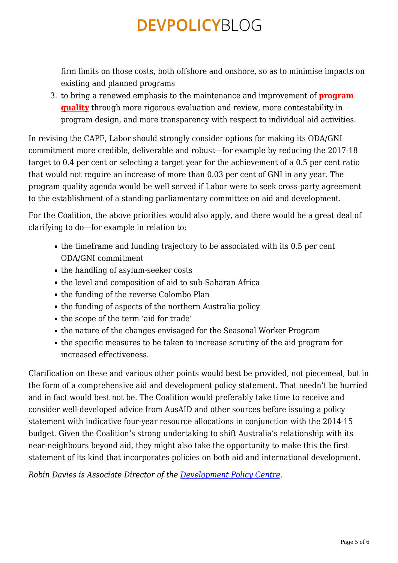firm limits on those costs, both offshore and onshore, so as to minimise impacts on existing and planned programs

3. to bring a renewed emphasis to the maintenance and improvement of **[program](https://devpolicy.org/ausaids-first-annual-review-of-aid-effectiveness-part-1-20130204/) [quality](https://devpolicy.org/ausaids-first-annual-review-of-aid-effectiveness-part-1-20130204/)** through more rigorous evaluation and review, more contestability in program design, and more transparency with respect to individual aid activities.

In revising the CAPF, Labor should strongly consider options for making its ODA/GNI commitment more credible, deliverable and robust—for example by reducing the 2017-18 target to 0.4 per cent or selecting a target year for the achievement of a 0.5 per cent ratio that would not require an increase of more than 0.03 per cent of GNI in any year. The program quality agenda would be well served if Labor were to seek cross-party agreement to the establishment of a standing parliamentary committee on aid and development.

For the Coalition, the above priorities would also apply, and there would be a great deal of clarifying to do—for example in relation to:

- the timeframe and funding trajectory to be associated with its 0.5 per cent ODA/GNI commitment
- the handling of asylum-seeker costs
- the level and composition of aid to sub-Saharan Africa
- the funding of the reverse Colombo Plan
- the funding of aspects of the northern Australia policy
- the scope of the term 'aid for trade'
- the nature of the changes envisaged for the Seasonal Worker Program
- the specific measures to be taken to increase scrutiny of the aid program for increased effectiveness.

Clarification on these and various other points would best be provided, not piecemeal, but in the form of a comprehensive aid and development policy statement. That needn't be hurried and in fact would best not be. The Coalition would preferably take time to receive and consider well-developed advice from AusAID and other sources before issuing a policy statement with indicative four-year resource allocations in conjunction with the 2014-15 budget. Given the Coalition's strong undertaking to shift Australia's relationship with its near-neighbours beyond aid, they might also take the opportunity to make this the first statement of its kind that incorporates policies on both aid and international development.

*Robin Davies is Associate Director of the [Development Policy Centre](http://devpolicy.anu.edu.au/).*